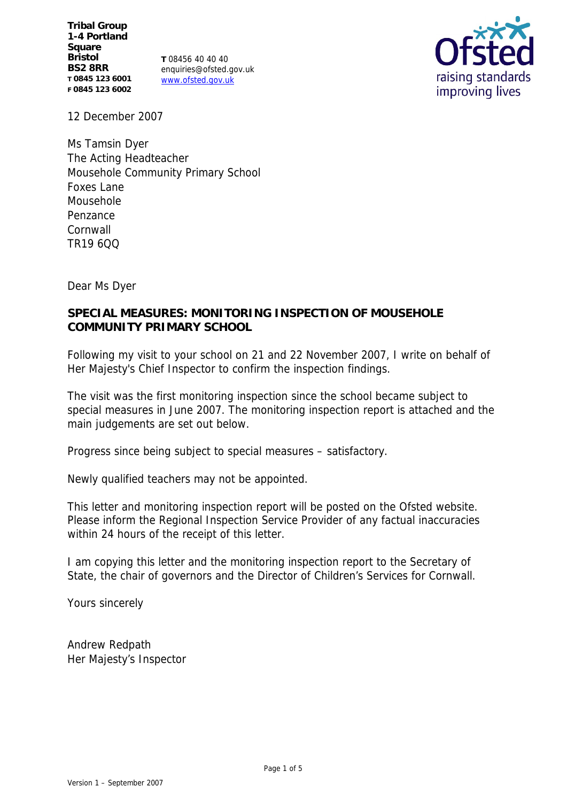**Tribal Group 1-4 Portland Square Bristol BS2 8RR T 0845 123 6001 F 0845 123 6002**

**T** 08456 40 40 40 enquiries@ofsted.gov.uk www.ofsted.gov.uk



12 December 2007

Ms Tamsin Dyer The Acting Headteacher Mousehole Community Primary School Foxes Lane Mousehole Penzance Cornwall TR19 6QQ

Dear Ms Dyer

# **SPECIAL MEASURES: MONITORING INSPECTION OF MOUSEHOLE COMMUNITY PRIMARY SCHOOL**

Following my visit to your school on 21 and 22 November 2007, I write on behalf of Her Majesty's Chief Inspector to confirm the inspection findings.

The visit was the first monitoring inspection since the school became subject to special measures in June 2007. The monitoring inspection report is attached and the main judgements are set out below.

Progress since being subject to special measures – satisfactory.

Newly qualified teachers may not be appointed.

This letter and monitoring inspection report will be posted on the Ofsted website. Please inform the Regional Inspection Service Provider of any factual inaccuracies within 24 hours of the receipt of this letter.

I am copying this letter and the monitoring inspection report to the Secretary of State, the chair of governors and the Director of Children's Services for Cornwall.

Yours sincerely

Andrew Redpath Her Majesty's Inspector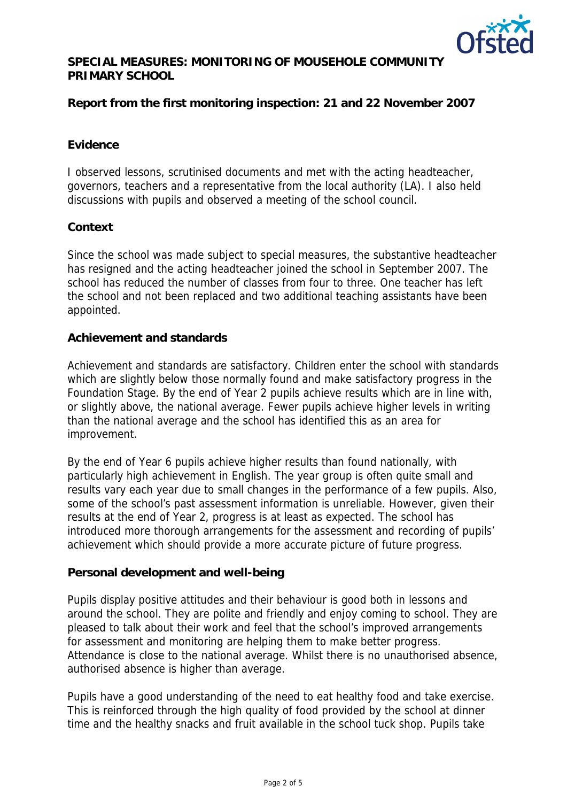

**SPECIAL MEASURES: MONITORING OF MOUSEHOLE COMMUNITY PRIMARY SCHOOL** 

**Report from the first monitoring inspection: 21 and 22 November 2007** 

## **Evidence**

I observed lessons, scrutinised documents and met with the acting headteacher, governors, teachers and a representative from the local authority (LA). I also held discussions with pupils and observed a meeting of the school council.

### **Context**

Since the school was made subject to special measures, the substantive headteacher has resigned and the acting headteacher joined the school in September 2007. The school has reduced the number of classes from four to three. One teacher has left the school and not been replaced and two additional teaching assistants have been appointed.

### **Achievement and standards**

Achievement and standards are satisfactory. Children enter the school with standards which are slightly below those normally found and make satisfactory progress in the Foundation Stage. By the end of Year 2 pupils achieve results which are in line with, or slightly above, the national average. Fewer pupils achieve higher levels in writing than the national average and the school has identified this as an area for improvement.

By the end of Year 6 pupils achieve higher results than found nationally, with particularly high achievement in English. The year group is often quite small and results vary each year due to small changes in the performance of a few pupils. Also, some of the school's past assessment information is unreliable. However, given their results at the end of Year 2, progress is at least as expected. The school has introduced more thorough arrangements for the assessment and recording of pupils' achievement which should provide a more accurate picture of future progress.

#### **Personal development and well-being**

Pupils display positive attitudes and their behaviour is good both in lessons and around the school. They are polite and friendly and enjoy coming to school. They are pleased to talk about their work and feel that the school's improved arrangements for assessment and monitoring are helping them to make better progress. Attendance is close to the national average. Whilst there is no unauthorised absence, authorised absence is higher than average.

Pupils have a good understanding of the need to eat healthy food and take exercise. This is reinforced through the high quality of food provided by the school at dinner time and the healthy snacks and fruit available in the school tuck shop. Pupils take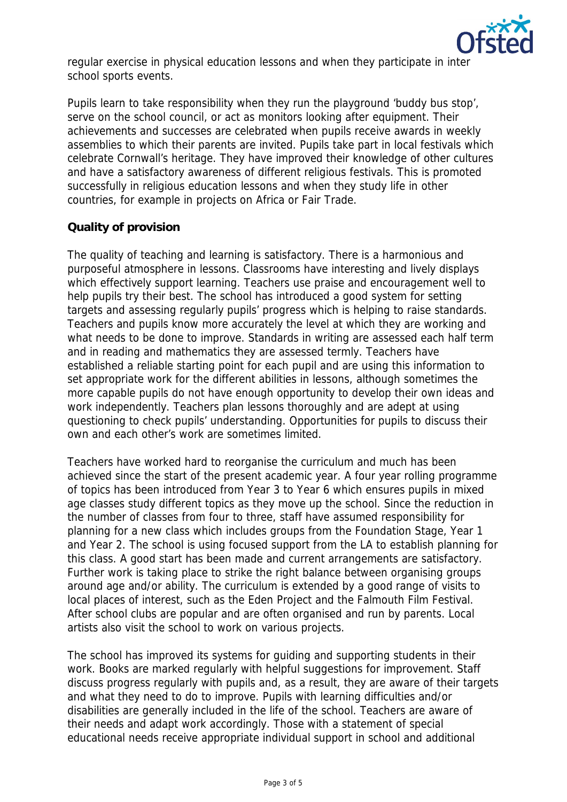

regular exercise in physical education lessons and when they participate in inter school sports events.

Pupils learn to take responsibility when they run the playground 'buddy bus stop', serve on the school council, or act as monitors looking after equipment. Their achievements and successes are celebrated when pupils receive awards in weekly assemblies to which their parents are invited. Pupils take part in local festivals which celebrate Cornwall's heritage. They have improved their knowledge of other cultures and have a satisfactory awareness of different religious festivals. This is promoted successfully in religious education lessons and when they study life in other countries, for example in projects on Africa or Fair Trade.

# **Quality of provision**

The quality of teaching and learning is satisfactory. There is a harmonious and purposeful atmosphere in lessons. Classrooms have interesting and lively displays which effectively support learning. Teachers use praise and encouragement well to help pupils try their best. The school has introduced a good system for setting targets and assessing regularly pupils' progress which is helping to raise standards. Teachers and pupils know more accurately the level at which they are working and what needs to be done to improve. Standards in writing are assessed each half term and in reading and mathematics they are assessed termly. Teachers have established a reliable starting point for each pupil and are using this information to set appropriate work for the different abilities in lessons, although sometimes the more capable pupils do not have enough opportunity to develop their own ideas and work independently. Teachers plan lessons thoroughly and are adept at using questioning to check pupils' understanding. Opportunities for pupils to discuss their own and each other's work are sometimes limited.

Teachers have worked hard to reorganise the curriculum and much has been achieved since the start of the present academic year. A four year rolling programme of topics has been introduced from Year 3 to Year 6 which ensures pupils in mixed age classes study different topics as they move up the school. Since the reduction in the number of classes from four to three, staff have assumed responsibility for planning for a new class which includes groups from the Foundation Stage, Year 1 and Year 2. The school is using focused support from the LA to establish planning for this class. A good start has been made and current arrangements are satisfactory. Further work is taking place to strike the right balance between organising groups around age and/or ability. The curriculum is extended by a good range of visits to local places of interest, such as the Eden Project and the Falmouth Film Festival. After school clubs are popular and are often organised and run by parents. Local artists also visit the school to work on various projects.

The school has improved its systems for guiding and supporting students in their work. Books are marked regularly with helpful suggestions for improvement. Staff discuss progress regularly with pupils and, as a result, they are aware of their targets and what they need to do to improve. Pupils with learning difficulties and/or disabilities are generally included in the life of the school. Teachers are aware of their needs and adapt work accordingly. Those with a statement of special educational needs receive appropriate individual support in school and additional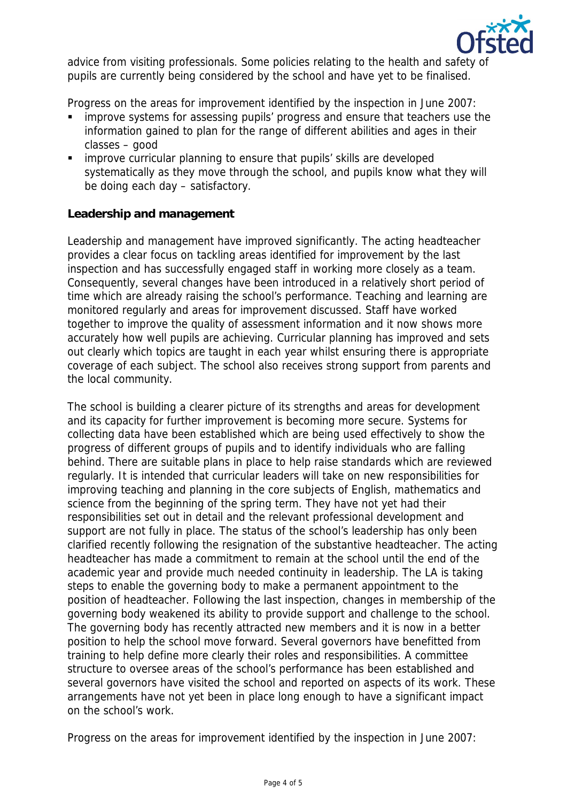

advice from visiting professionals. Some policies relating to the health and safety of pupils are currently being considered by the school and have yet to be finalised.

Progress on the areas for improvement identified by the inspection in June 2007:

- improve systems for assessing pupils' progress and ensure that teachers use the information gained to plan for the range of different abilities and ages in their classes – good
- improve curricular planning to ensure that pupils' skills are developed systematically as they move through the school, and pupils know what they will be doing each day – satisfactory.

## **Leadership and management**

Leadership and management have improved significantly. The acting headteacher provides a clear focus on tackling areas identified for improvement by the last inspection and has successfully engaged staff in working more closely as a team. Consequently, several changes have been introduced in a relatively short period of time which are already raising the school's performance. Teaching and learning are monitored regularly and areas for improvement discussed. Staff have worked together to improve the quality of assessment information and it now shows more accurately how well pupils are achieving. Curricular planning has improved and sets out clearly which topics are taught in each year whilst ensuring there is appropriate coverage of each subject. The school also receives strong support from parents and the local community.

The school is building a clearer picture of its strengths and areas for development and its capacity for further improvement is becoming more secure. Systems for collecting data have been established which are being used effectively to show the progress of different groups of pupils and to identify individuals who are falling behind. There are suitable plans in place to help raise standards which are reviewed regularly. It is intended that curricular leaders will take on new responsibilities for improving teaching and planning in the core subjects of English, mathematics and science from the beginning of the spring term. They have not yet had their responsibilities set out in detail and the relevant professional development and support are not fully in place. The status of the school's leadership has only been clarified recently following the resignation of the substantive headteacher. The acting headteacher has made a commitment to remain at the school until the end of the academic year and provide much needed continuity in leadership. The LA is taking steps to enable the governing body to make a permanent appointment to the position of headteacher. Following the last inspection, changes in membership of the governing body weakened its ability to provide support and challenge to the school. The governing body has recently attracted new members and it is now in a better position to help the school move forward. Several governors have benefitted from training to help define more clearly their roles and responsibilities. A committee structure to oversee areas of the school's performance has been established and several governors have visited the school and reported on aspects of its work. These arrangements have not yet been in place long enough to have a significant impact on the school's work.

Progress on the areas for improvement identified by the inspection in June 2007: